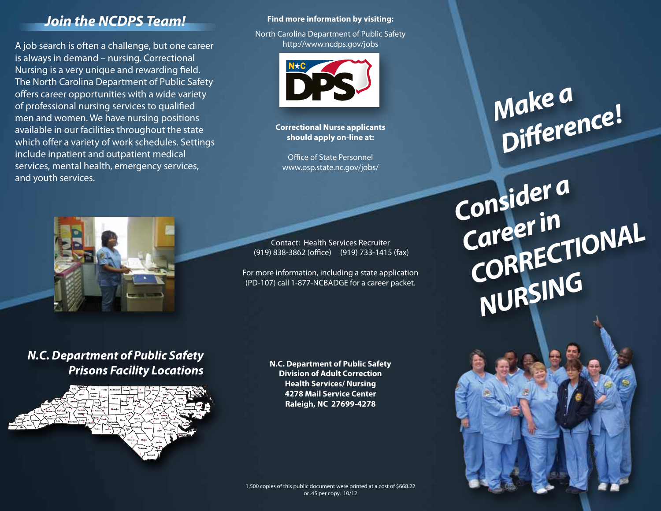### *Join the NCDPS Team!*

A job search is often a challenge, but one career is always in demand – nursing. Correctional Nursing is a very unique and rewarding field. The North Carolina Department of Public Safety offers career opportunities with a wide variety of professional nursing services to qualified men and women. We have nursing positions available in our facilities throughout the state which offer a variety of work schedules. Settings include inpatient and outpatient medical services, mental health, emergency services, and youth services.



North Carolina Department of Public Safety http://www.ncdps.gov/jobs



**Correctional Nurse applicants should apply on-line at:** 

Office of State Personnel www.osp.state.nc.gov/jobs/

Contact: Health Services Recruiter (919) 838-3862 (office) (919) 733-1415 (fax)

For more information, including a state application (PD-107) call 1-877-NCBADGE for a career packet.

### *N.C. Department of Public Safety Prisons Facility Locations*



**N.C. Department of Public Safety Division of Adult Correction Health Services/ Nursing 4278 Mail Service Center Raleigh, NC 27699-4278**

### 1,500 copies of this public document were printed at a cost of \$668.22 or .45 per copy. 10/12

# *Make a Difference!*

*Consider a Career in*  **CORRECTIONAL** *NURSING*